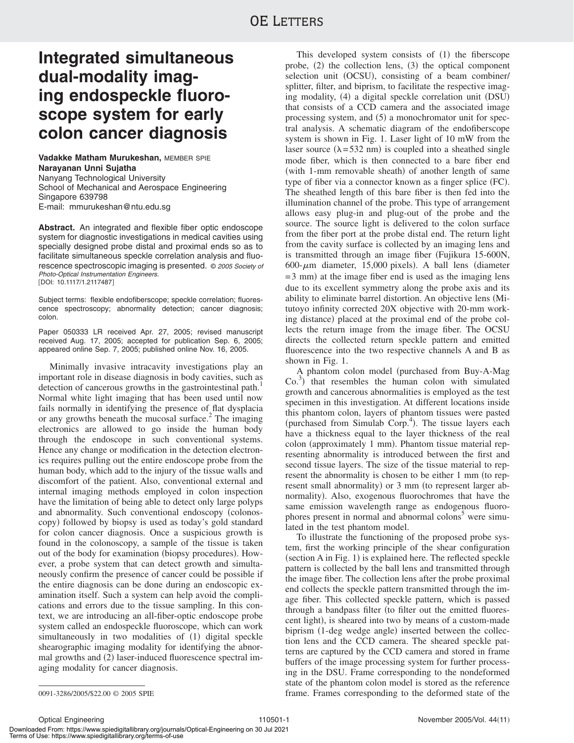# **Integrated simultaneous dual-modality imaging endospeckle fluoroscope system for early colon cancer diagnosis**

**Vadakke Matham Murukeshan,** MEMBER SPIE **Narayanan Unni Sujatha** Nanyang Technological University School of Mechanical and Aerospace Engineering Singapore 639798 E-mail: mmurukeshan@ntu.edu.sg

**Abstract.** An integrated and flexible fiber optic endoscope system for diagnostic investigations in medical cavities using specially designed probe distal and proximal ends so as to facilitate simultaneous speckle correlation analysis and fluorescence spectroscopic imaging is presented. © <sup>2005</sup> Society of Photo-Optical Instrumentation Engineers. DOI: 10.1117/1.2117487-

Subject terms: flexible endofiberscope; speckle correlation; fluorescence spectroscopy; abnormality detection; cancer diagnosis; colon.

Paper 050333 LR received Apr. 27, 2005; revised manuscript received Aug. 17, 2005; accepted for publication Sep. 6, 2005; appeared online Sep. 7, 2005; published online Nov. 16, 2005.

Minimally invasive intracavity investigations play an important role in disease diagnosis in body cavities, such as detection of cancerous growths in the gastrointestinal path.<sup>1</sup> Normal white light imaging that has been used until now fails normally in identifying the presence of flat dysplacia or any growths beneath the mucosal surface.<sup>2</sup> The imaging electronics are allowed to go inside the human body through the endoscope in such conventional systems. Hence any change or modification in the detection electronics requires pulling out the entire endoscope probe from the human body, which add to the injury of the tissue walls and discomfort of the patient. Also, conventional external and internal imaging methods employed in colon inspection have the limitation of being able to detect only large polyps and abnormality. Such conventional endoscopy (colonoscopy) followed by biopsy is used as today's gold standard for colon cancer diagnosis. Once a suspicious growth is found in the colonoscopy, a sample of the tissue is taken out of the body for examination (biopsy procedures). However, a probe system that can detect growth and simultaneously confirm the presence of cancer could be possible if the entire diagnosis can be done during an endoscopic examination itself. Such a system can help avoid the complications and errors due to the tissue sampling. In this context, we are introducing an all-fiber-optic endoscope probe system called an endospeckle fluoroscope, which can work simultaneously in two modalities of (1) digital speckle shearographic imaging modality for identifying the abnormal growths and (2) laser-induced fluorescence spectral imaging modality for cancer diagnosis.

This developed system consists of  $(1)$  the fiberscope probe, (2) the collection lens, (3) the optical component selection unit (OCSU), consisting of a beam combiner/ splitter, filter, and biprism, to facilitate the respective imaging modality, (4) a digital speckle correlation unit (DSU) that consists of a CCD camera and the associated image processing system, and (5) a monochromator unit for spectral analysis. A schematic diagram of the endofiberscope system is shown in Fig. 1. Laser light of 10 mW from the laser source  $(\lambda = 532 \text{ nm})$  is coupled into a sheathed single mode fiber, which is then connected to a bare fiber end (with 1-mm removable sheath) of another length of same type of fiber via a connector known as a finger splice (FC). The sheathed length of this bare fiber is then fed into the illumination channel of the probe. This type of arrangement allows easy plug-in and plug-out of the probe and the source. The source light is delivered to the colon surface from the fiber port at the probe distal end. The return light from the cavity surface is collected by an imaging lens and is transmitted through an image fiber (Fujikura 15-600N,  $600$ - $\mu$ m diameter, 15,000 pixels). A ball lens (diameter = 3 mm) at the image fiber end is used as the imaging lens due to its excellent symmetry along the probe axis and its ability to eliminate barrel distortion. An objective lens Mitutoyo infinity corrected 20X objective with 20-mm working distance) placed at the proximal end of the probe collects the return image from the image fiber. The OCSU directs the collected return speckle pattern and emitted fluorescence into the two respective channels A and B as shown in Fig. 1.

A phantom colon model (purchased from Buy-A-Mag  $\text{Co.}^{3}$ ) that resembles the human colon with simulated growth and cancerous abnormalities is employed as the test specimen in this investigation. At different locations inside this phantom colon, layers of phantom tissues were pasted (purchased from Simulab Corp.<sup>4</sup>). The tissue layers each have a thickness equal to the layer thickness of the real colon (approximately 1 mm). Phantom tissue material representing abnormality is introduced between the first and second tissue layers. The size of the tissue material to represent the abnormality is chosen to be either 1 mm (to represent small abnormality) or 3 mm (to represent larger abnormality). Also, exogenous fluorochromes that have the same emission wavelength range as endogenous fluorophores present in normal and abnormal colons<sup>3</sup> were simulated in the test phantom model.

To illustrate the functioning of the proposed probe system, first the working principle of the shear configuration (section A in Fig. 1) is explained here. The reflected speckle pattern is collected by the ball lens and transmitted through the image fiber. The collection lens after the probe proximal end collects the speckle pattern transmitted through the image fiber. This collected speckle pattern, which is passed through a bandpass filter (to filter out the emitted fluorescent light), is sheared into two by means of a custom-made biprism (1-deg wedge angle) inserted between the collection lens and the CCD camera. The sheared speckle patterns are captured by the CCD camera and stored in frame buffers of the image processing system for further processing in the DSU. Frame corresponding to the nondeformed state of the phantom colon model is stored as the reference 0091-3286/2005/\$22.00 © 2005 SPIE frame. Frames corresponding to the deformed state of the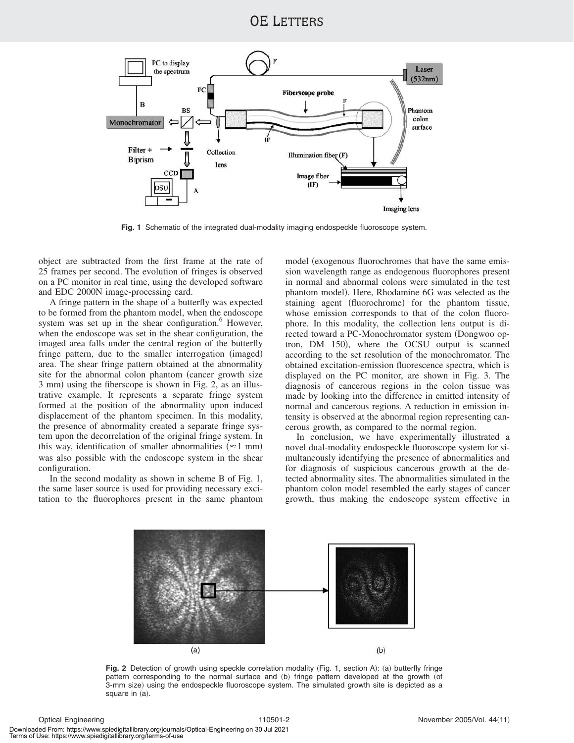### OE LETTERS



**Fig. 1** Schematic of the integrated dual-modality imaging endospeckle fluoroscope system.

object are subtracted from the first frame at the rate of 25 frames per second. The evolution of fringes is observed on a PC monitor in real time, using the developed software and EDC 2000N image-processing card.

A fringe pattern in the shape of a butterfly was expected to be formed from the phantom model, when the endoscope system was set up in the shear configuration. $6$  However, when the endoscope was set in the shear configuration, the imaged area falls under the central region of the butterfly fringe pattern, due to the smaller interrogation (imaged) area. The shear fringe pattern obtained at the abnormality site for the abnormal colon phantom (cancer growth size 3 mm) using the fiberscope is shown in Fig. 2, as an illustrative example. It represents a separate fringe system formed at the position of the abnormality upon induced displacement of the phantom specimen. In this modality, the presence of abnormality created a separate fringe system upon the decorrelation of the original fringe system. In this way, identification of smaller abnormalities  $(\approx 1 \text{ mm})$ was also possible with the endoscope system in the shear configuration.

In the second modality as shown in scheme B of Fig. 1, the same laser source is used for providing necessary excitation to the fluorophores present in the same phantom model (exogenous fluorochromes that have the same emission wavelength range as endogenous fluorophores present in normal and abnormal colons were simulated in the test phantom model). Here, Rhodamine 6G was selected as the staining agent (fluorochrome) for the phantom tissue, whose emission corresponds to that of the colon fluorophore. In this modality, the collection lens output is directed toward a PC-Monochromator system (Dongwoo optron, DM 150), where the OCSU output is scanned according to the set resolution of the monochromator. The obtained excitation-emission fluorescence spectra, which is displayed on the PC monitor, are shown in Fig. 3. The diagnosis of cancerous regions in the colon tissue was made by looking into the difference in emitted intensity of normal and cancerous regions. A reduction in emission intensity is observed at the abnormal region representing cancerous growth, as compared to the normal region.

In conclusion, we have experimentally illustrated a novel dual-modality endospeckle fluoroscope system for simultaneously identifying the presence of abnormalities and for diagnosis of suspicious cancerous growth at the detected abnormality sites. The abnormalities simulated in the phantom colon model resembled the early stages of cancer growth, thus making the endoscope system effective in



**Fig. 2** Detection of growth using speckle correlation modality (Fig. 1, section A): (a) butterfly fringe pattern corresponding to the normal surface and (b) fringe pattern developed at the growth (of 3-mm size) using the endospeckle fluoroscope system. The simulated growth site is depicted as a square in  $(a)$ .